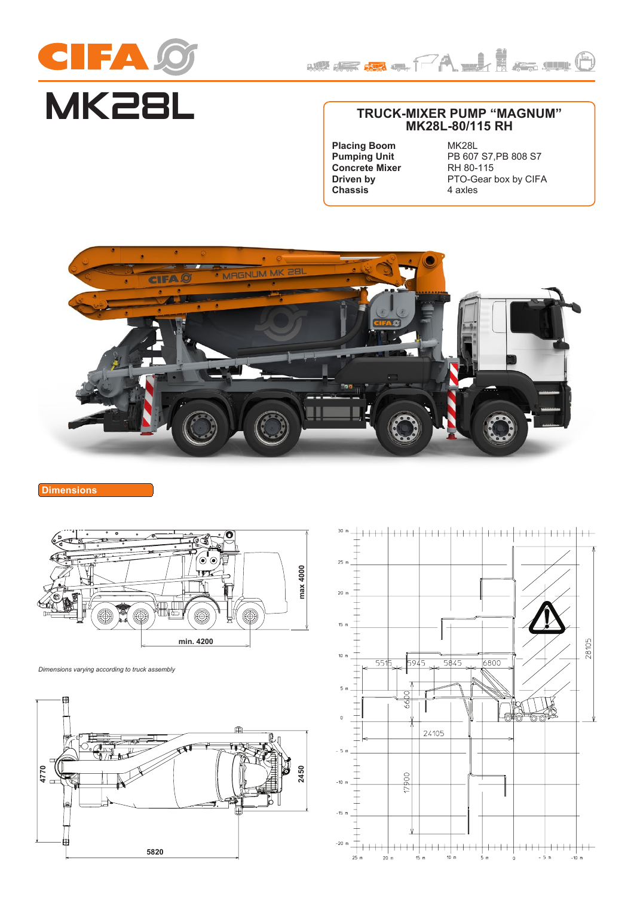



# **TRUCK-MIXER PUMP "MAGNUM" MK28L-80/115 RH**

**Placing Boom Pumping Unit Concrete Mixer Driven by Chassis**

MK28L PB 607 S7,PB 808 S7 RH 80-115 PTO-Gear box by CIFA 4 axles



**Dimensions**



*Dimensions varying according to truck assembly*